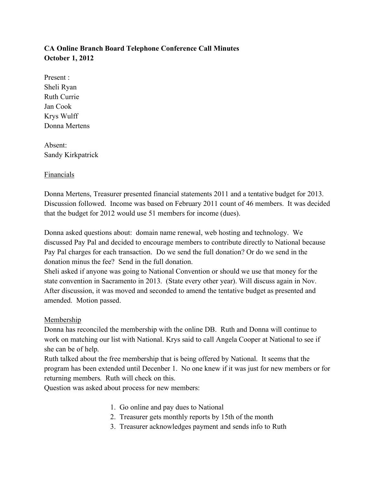# **CA Online Branch Board Telephone Conference Call Minutes October 1, 2012**

Present : Sheli Ryan Ruth Currie Jan Cook Krys Wulff Donna Mertens

Absent: Sandy Kirkpatrick

## Financials

Donna Mertens, Treasurer presented financial statements 2011 and a tentative budget for 2013. Discussion followed. Income was based on February 2011 count of 46 members. It was decided that the budget for 2012 would use 51 members for income (dues).

Donna asked questions about: domain name renewal, web hosting and technology. We discussed Pay Pal and decided to encourage members to contribute directly to National because Pay Pal charges for each transaction. Do we send the full donation? Or do we send in the donation minus the fee? Send in the full donation.

Sheli asked if anyone was going to National Convention or should we use that money for the state convention in Sacramento in 2013. (State every other year). Will discuss again in Nov. After discussion, it was moved and seconded to amend the tentative budget as presented and amended. Motion passed.

## Membership

Donna has reconciled the membership with the online DB. Ruth and Donna will continue to work on matching our list with National. Krys said to call Angela Cooper at National to see if she can be of help.

Ruth talked about the free membership that is being offered by National. It seems that the program has been extended until Decenber 1. No one knew if it was just for new members or for returning members. Ruth will check on this.

Question was asked about process for new members:

- 1. Go online and pay dues to National
- 2. Treasurer gets monthly reports by 15th of the month
- 3. Treasurer acknowledges payment and sends info to Ruth